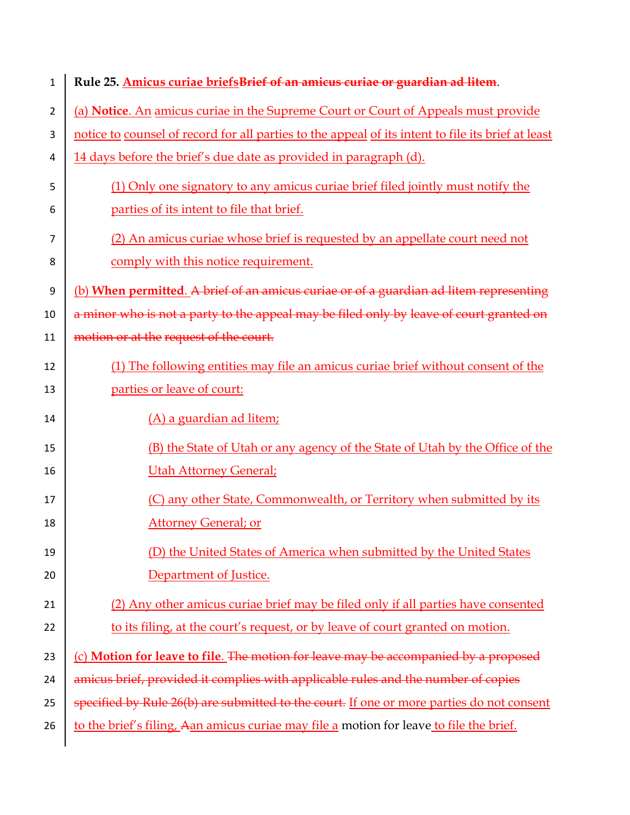| 1  | Rule 25. Amicus curiae briefsBrief of an amicus curiae or guardian ad litem.                       |
|----|----------------------------------------------------------------------------------------------------|
| 2  | (a) Notice. An amicus curiae in the Supreme Court or Court of Appeals must provide                 |
| 3  | notice to counsel of record for all parties to the appeal of its intent to file its brief at least |
| 4  | 14 days before the brief's due date as provided in paragraph (d).                                  |
| 5  | (1) Only one signatory to any amicus curiae brief filed jointly must notify the                    |
| 6  | parties of its intent to file that brief.                                                          |
| 7  | (2) An amicus curiae whose brief is requested by an appellate court need not                       |
| 8  | comply with this notice requirement.                                                               |
| 9  | (b) When permitted. A brief of an amicus curiae or of a guardian ad litem representing             |
| 10 | a minor who is not a party to the appeal may be filed only by leave of court granted on            |
| 11 | motion or at the request of the court.                                                             |
| 12 | (1) The following entities may file an amicus curiae brief without consent of the                  |
| 13 | parties or leave of court:                                                                         |
| 14 | (A) a guardian ad litem;                                                                           |
| 15 | (B) the State of Utah or any agency of the State of Utah by the Office of the                      |
| 16 | <b>Utah Attorney General;</b>                                                                      |
| 17 | (C) any other State, Commonwealth, or Territory when submitted by its                              |
| 18 | <b>Attorney General; or</b>                                                                        |
| 19 | (D) the United States of America when submitted by the United States                               |
| 20 | Department of Justice.                                                                             |
| 21 | (2) Any other amicus curiae brief may be filed only if all parties have consented                  |
| 22 | to its filing, at the court's request, or by leave of court granted on motion.                     |
| 23 | (c) Motion for leave to file. The motion for leave may be accompanied by a proposed                |
| 24 | amicus brief, provided it complies with applicable rules and the number of copies                  |
| 25 | specified by Rule 26(b) are submitted to the court. If one or more parties do not consent          |
| 26 | to the brief's filing, Aan amicus curiae may file a motion for leave to file the brief.            |
|    |                                                                                                    |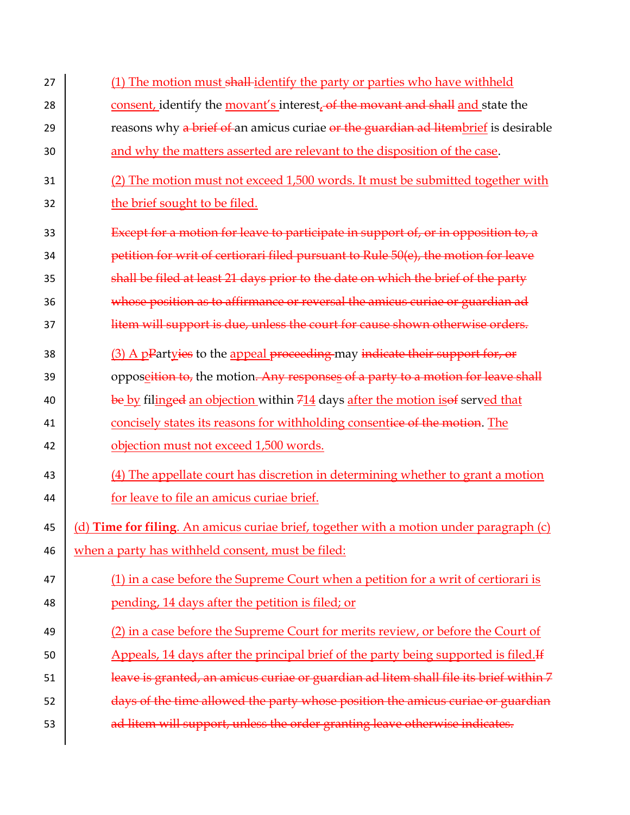27 (1) The motion must shall-identify the party or parties who have withheld 28 consent, identify the movant's interest, of the movant and shall and state the 29 **Figure 20** reasons why a brief of an amicus curiae or the guardian ad litembrief is desirable 30 and why the matters asserted are relevant to the disposition of the case. 31 (2) The motion must not exceed 1,500 words. It must be submitted together with 32 the brief sought to be filed. 33 Except for a motion for leave to participate in support of, or in opposition to, a 34 **petition for writ of certiorari filed pursuant to Rule 50(e), the motion for leave** 35 shall be filed at least 21 days prior to the date on which the brief of the party 36 whose position as to affirmance or reversal the amicus curiae or guardian ad 37 **litem will support is due, unless the court for cause shown otherwise orders.** 38 (3) A pPartyies to the appeal proceeding may indicate their support for, or 39 opposet is the motion. Any responses of a party to a motion for leave shall 40 be by filinged an objection within  $\frac{714}{4}$  days after the motion is of served that 41 concisely states its reasons for withholding consentice of the motion. The 42 **b** objection must not exceed 1,500 words. 43 (4) The appellate court has discretion in determining whether to grant a motion 44 for leave to file an amicus curiae brief. 45 (d) **Time for filing**. An amicus curiae brief, together with a motion under paragraph (c) 46 when a party has withheld consent, must be filed: 47 (1) in a case before the Supreme Court when a petition for a writ of certiorari is 48 ending, 14 days after the petition is filed; or 49 (2) in a case before the Supreme Court for merits review, or before the Court of 50 Appeals, 14 days after the principal brief of the party being supported is filed.<sup>If</sup> 51 **leave is granted, an amicus curiae or guardian ad litem shall file its brief within 7**  $\frac{1}{52}$  days of the time allowed the party whose position the amicus curiae or guardian 53 **d** ad litem will support, unless the order granting leave otherwise indicates.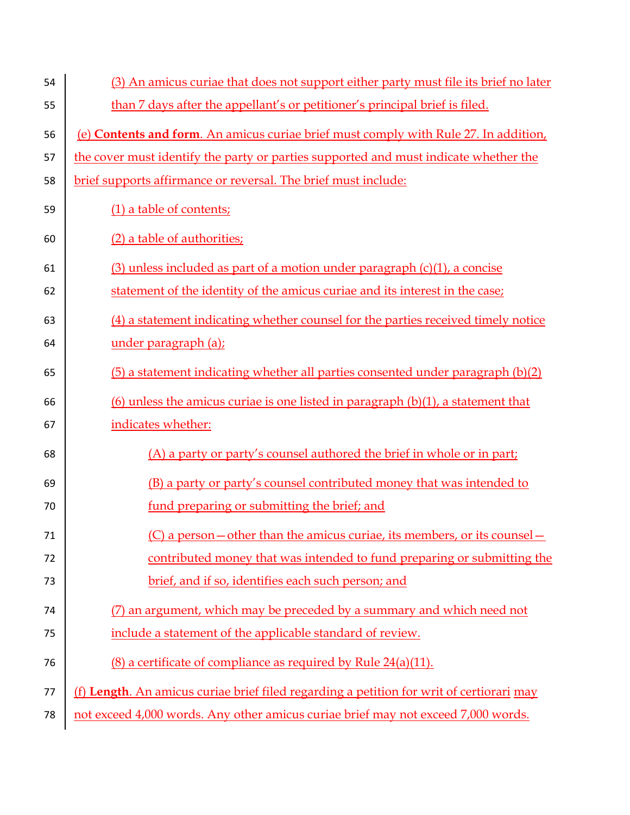| 54 | (3) An amicus curiae that does not support either party must file its brief no later     |
|----|------------------------------------------------------------------------------------------|
| 55 | than 7 days after the appellant's or petitioner's principal brief is filed.              |
| 56 | (e) Contents and form. An amicus curiae brief must comply with Rule 27. In addition,     |
| 57 | the cover must identify the party or parties supported and must indicate whether the     |
| 58 | brief supports affirmance or reversal. The brief must include:                           |
| 59 | (1) a table of contents;                                                                 |
| 60 | (2) a table of authorities;                                                              |
| 61 | $(3)$ unless included as part of a motion under paragraph $(c)(1)$ , a concise           |
| 62 | statement of the identity of the amicus curiae and its interest in the case;             |
| 63 | (4) a statement indicating whether counsel for the parties received timely notice        |
| 64 | under paragraph (a);                                                                     |
| 65 | (5) a statement indicating whether all parties consented under paragraph (b)(2)          |
| 66 | $(6)$ unless the amicus curiae is one listed in paragraph $(b)(1)$ , a statement that    |
| 67 | indicates whether:                                                                       |
| 68 | (A) a party or party's counsel authored the brief in whole or in part;                   |
| 69 | (B) a party or party's counsel contributed money that was intended to                    |
| 70 | fund preparing or submitting the brief; and                                              |
| 71 | (C) a person—other than the amicus curiae, its members, or its counsel—                  |
| 72 | contributed money that was intended to fund preparing or submitting the                  |
| 73 | brief, and if so, identifies each such person; and                                       |
| 74 | (7) an argument, which may be preceded by a summary and which need not                   |
| 75 | include a statement of the applicable standard of review.                                |
| 76 | $(8)$ a certificate of compliance as required by Rule 24(a)(11).                         |
| 77 | (f) Length. An amicus curiae brief filed regarding a petition for writ of certiorari may |
| 78 | not exceed 4,000 words. Any other amicus curiae brief may not exceed 7,000 words.        |